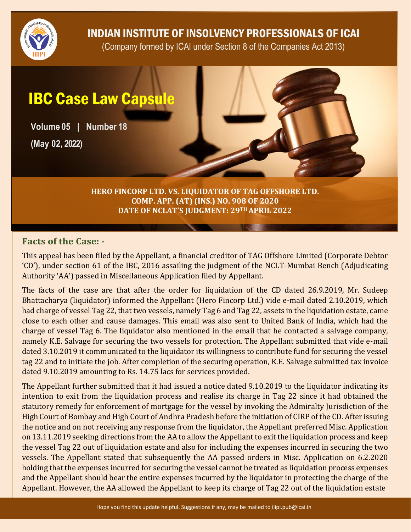

INDIAN INSTITUTE OF INSOLVENCY PROFESSIONALS OF ICAI

(Company formed by ICAI under Section 8 of the Companies Act 2013)

## IBC Case Law Capsule

**Volume 05 | Number 18 (May 02, 2022)**

> **HERO FINCORP LTD. VS. LIQUIDATOR OF TAG OFFSHORE LTD. COMP. APP. (AT) (INS.) NO. 908 OF 2020 DATE OF NCLAT'S JUDGMENT: 29TH APRIL 2022**

## **Facts of the Case: -**

This appeal has been filed by the Appellant, a financial creditor of TAG Offshore Limited (Corporate Debtor 'CD'), under section 61 of the IBC, 2016 assailing the judgment of the NCLT-Mumbai Bench (Adjudicating Authority 'AA') passed in Miscellaneous Application filed by Appellant.

The facts of the case are that after the order for liquidation of the CD dated 26.9.2019, Mr. Sudeep Bhattacharya (liquidator) informed the Appellant (Hero Fincorp Ltd.) vide e-mail dated 2.10.2019, which had charge of vessel Tag 22, that two vessels, namely Tag 6 and Tag 22, assets in the liquidation estate, came close to each other and cause damages. This email was also sent to United Bank of India, which had the charge of vessel Tag 6. The liquidator also mentioned in the email that he contacted a salvage company, namely K.E. Salvage for securing the two vessels for protection. The Appellant submitted that vide e-mail dated 3.10.2019 it communicated to the liquidator its willingness to contribute fund for securing the vessel tag 22 and to initiate the job. After completion of the securing operation, K.E. Salvage submitted tax invoice dated 9.10.2019 amounting to Rs. 14.75 lacs for services provided.

The Appellant further submitted that it had issued a notice dated 9.10.2019 to the liquidator indicating its intention to exit from the liquidation process and realise its charge in Tag 22 since it had obtained the statutory remedy for enforcement of mortgage for the vessel by invoking the Admiralty Jurisdiction of the High Court of Bombay and High Court of Andhra Pradesh before the initiation of CIRP of the CD. After issuing the notice and on not receiving any response from the liquidator, the Appellant preferred Misc. Application on 13.11.2019 seeking directions from the AA to allow the Appellant to exit the liquidation process and keep the vessel Tag 22 out of liquidation estate and also for including the expenses incurred in securing the two vessels. The Appellant stated that subsequently the AA passed orders in Misc. Application on 6.2.2020 holding that the expenses incurred for securing the vessel cannot be treated as liquidation process expenses and the Appellant should bear the entire expenses incurred by the liquidator in protecting the charge of the Appellant. However, the AA allowed the Appellant to keep its charge of Tag 22 out of the liquidation estate